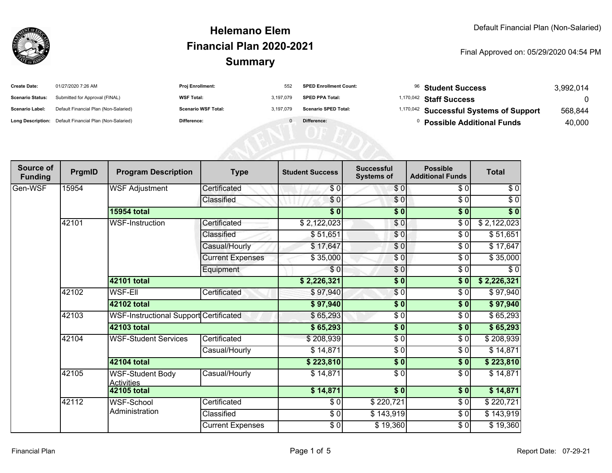

| <b>Create Date:</b>     | 01/27/2020 7:26 AM                                      | Proj Enrollment:           | 552       | <b>SPED Enrollment Count:</b> |              | <sup>96</sup> Student Success           | 3,992,014 |
|-------------------------|---------------------------------------------------------|----------------------------|-----------|-------------------------------|--------------|-----------------------------------------|-----------|
| <b>Scenario Status:</b> | Submitted for Approval (FINAL)                          | <b>WSF Total:</b>          | 3.197.079 | <b>SPED PPA Total:</b>        |              | <sup>1,170,042</sup> Staff Success      | $\cap$    |
| <b>Scenario Label:</b>  | Default Financial Plan (Non-Salaried)                   | <b>Scenario WSF Total:</b> | 3.197.079 | <b>Scenario SPED Total:</b>   |              | 1,170,042 Successful Systems of Support | 568,844   |
|                         | Long Description: Default Financial Plan (Non-Salaried) | Difference:                |           | Difference:                   | $\mathbf{0}$ | <b>Possible Additional Funds</b>        | 40,000    |
|                         |                                                         |                            |           |                               |              |                                         |           |
|                         |                                                         |                            |           |                               |              |                                         |           |
|                         |                                                         |                            |           |                               |              |                                         |           |

| Source of<br><b>Funding</b> | PrgmID | <b>Program Description</b>                    | <b>Type</b>             | <b>Student Success</b> | <b>Successful</b><br><b>Systems of</b> | <b>Possible</b><br><b>Additional Funds</b> | <b>Total</b> |
|-----------------------------|--------|-----------------------------------------------|-------------------------|------------------------|----------------------------------------|--------------------------------------------|--------------|
| Gen-WSF                     | 15954  | <b>WSF Adjustment</b>                         | Certificated            | \$0                    | \$0                                    | \$0                                        | $\sqrt{6}$   |
|                             |        |                                               | Classified              | \$0                    | $\frac{6}{6}$                          | $\sqrt{6}$                                 | $\sqrt{6}$   |
|                             |        | <b>15954 total</b>                            |                         | $\overline{\$0}$       | \$0                                    | $\overline{\$0}$                           | \$0          |
|                             | 42101  | WSF-Instruction                               | Certificated            | \$2,122,023            | \$0                                    | \$0                                        | \$2,122,023  |
|                             |        |                                               | Classified              | \$51,651               | $\frac{6}{3}$                          | \$0                                        | \$51,651     |
|                             |        |                                               | Casual/Hourly           | \$17,647               | $\frac{6}{6}$                          | $\sqrt{6}$                                 | \$17,647     |
|                             |        |                                               | <b>Current Expenses</b> | \$35,000               | $\frac{6}{6}$                          | $\sqrt{6}$                                 | \$35,000     |
|                             |        |                                               | Equipment               | \$0                    | $\frac{6}{6}$                          | \$0                                        | \$0          |
|                             |        | 42101 total                                   |                         | \$2,226,321            | \$0                                    | \$0                                        | \$2,226,321  |
|                             | 42102  | <b>WSF-Ell</b>                                | Certificated            | \$97,940               | \$0                                    | \$0                                        | \$97,940     |
|                             |        | 42102 total                                   |                         | \$97,940               | $\sqrt{6}$                             | \$0                                        | \$97,940     |
|                             | 42103  | <b>WSF-Instructional Support Certificated</b> |                         | \$65,293               | $\frac{3}{2}$                          | \$0                                        | \$65,293     |
|                             |        | 42103 total                                   |                         | \$65,293               | $\sqrt{6}$                             | \$0                                        | \$65,293     |
|                             | 42104  | <b>WSF-Student Services</b>                   | Certificated            | \$208,939              | \$0                                    | \$0                                        | \$208,939    |
|                             |        |                                               | Casual/Hourly           | \$14,871               | \$0                                    | \$0                                        | \$14,871     |
|                             |        | 42104 total                                   |                         | \$223,810              | \$0                                    | \$0                                        | \$223,810    |
|                             | 42105  | <b>WSF-Student Body</b><br><b>Activities</b>  | Casual/Hourly           | \$14,871               | \$0                                    | $\sqrt{6}$                                 | \$14,871     |
|                             |        | 42105 total                                   |                         | \$14,871               | \$0                                    | \$0                                        | \$14,871     |
|                             | 42112  | WSF-School                                    | Certificated            | \$0                    | \$220,721                              | \$0                                        | \$220,721    |
|                             |        | Administration                                | Classified              | $\frac{1}{6}$          | \$143,919                              | $\sqrt{6}$                                 | \$143,919    |
|                             |        |                                               | <b>Current Expenses</b> | $\frac{1}{6}$          | \$19,360                               | $\sqrt{6}$                                 | \$19,360     |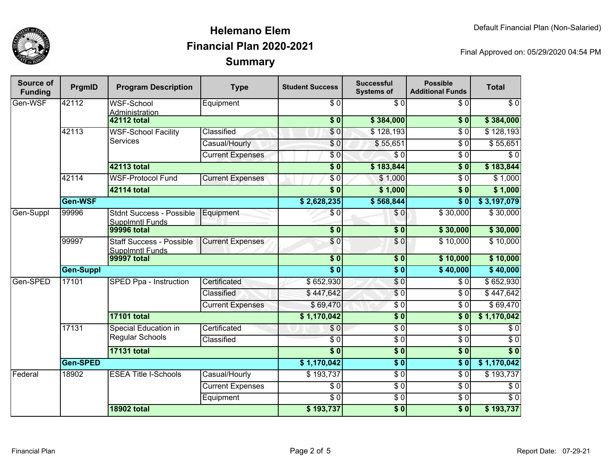

| Source of<br><b>Funding</b> | PrgmID           | <b>Program Description</b>                                | <b>Type</b>             | <b>Student Success</b>    | <b>Successful</b><br><b>Systems of</b> | <b>Possible</b><br><b>Additional Funds</b> | <b>Total</b>     |
|-----------------------------|------------------|-----------------------------------------------------------|-------------------------|---------------------------|----------------------------------------|--------------------------------------------|------------------|
| Gen-WSF                     | 42112            | <b>WSF-School</b><br>Administration                       | Equipment               | \$0                       | $\overline{\$0}$                       | \$0                                        | \$0              |
|                             |                  | <b>42112 total</b>                                        |                         | \$0                       | \$384,000                              | \$0                                        | \$384,000        |
|                             | 42113            | <b>WSF-School Facility</b><br><b>Services</b>             | Classified              | $\overline{\$0}$          | \$128,193                              | $\overline{\$0}$                           | \$128,193        |
|                             |                  |                                                           | Casual/Hourly           | \$0                       | \$55,651                               | $\overline{\$0}$                           | \$55,651         |
|                             |                  |                                                           | <b>Current Expenses</b> | $\overline{\$0}$          | $\overline{\$0}$                       | $\overline{\$0}$                           | $\overline{\$0}$ |
|                             |                  | <b>42113 total</b>                                        |                         | $\overline{\$0}$          | \$183,844                              | $\overline{\textbf{S}^0}$                  | \$183,844        |
|                             | 42114            | <b>WSF-Protocol Fund</b>                                  | <b>Current Expenses</b> | \$0                       | \$1,000                                | $\overline{\$0}$                           | \$1,000          |
|                             |                  | <b>42114 total</b>                                        |                         | $\overline{\textbf{S}^0}$ | \$1,000                                | $\overline{\textbf{S}^0}$                  | \$1,000          |
|                             | Gen-WSF          |                                                           |                         | \$2,628,235               | \$568,844                              | $\overline{\textbf{S}^0}$                  | \$3,197,079      |
| Gen-Suppl                   | 99996            | <b>Stdnt Success - Possible</b><br><b>Supplmntl Funds</b> | Equipment               | \$0                       | \$0                                    | \$30,000                                   | \$30,000         |
|                             |                  | <b>99996 total</b>                                        |                         | $\overline{\$0}$          | $\overline{\$0}$                       | \$30,000                                   | \$30,000         |
|                             | 99997            | <b>Staff Success - Possible</b><br><b>Supplmntl Funds</b> | <b>Current Expenses</b> | \$0                       | \$0                                    | \$10,000                                   | \$10,000         |
|                             |                  | <b>99997 total</b>                                        |                         | $\overline{\$0}$          | $\overline{\$0}$                       | \$10,000                                   | \$10,000         |
|                             | <b>Gen-Suppl</b> |                                                           |                         | $\overline{\$0}$          | $\overline{\$0}$                       | \$40,000                                   | \$40,000         |
| Gen-SPED                    | 17101            | SPED Ppa - Instruction                                    | Certificated            | \$652,930                 | $\overline{S}0$                        | \$0                                        | \$652,930        |
|                             |                  |                                                           | Classified              | \$447,642                 | $\sqrt{6}$                             | $\overline{30}$                            | \$447,642        |
|                             |                  |                                                           | <b>Current Expenses</b> | \$69,470                  | $\overline{\$0}$                       | $\sqrt{6}$                                 | \$69,470         |
|                             |                  | <b>17101 total</b>                                        |                         | \$1,170,042               | $\overline{\$0}$                       | $\overline{\$0}$                           | \$1,170,042      |
|                             | 17131            | Special Education in<br>Regular Schools                   | Certificated            | \$0                       | $\overline{30}$                        | $\overline{30}$                            | \$0              |
|                             |                  |                                                           | Classified              | $\sqrt{6}$                | $\overline{30}$                        | $\overline{\$0}$                           | $\overline{\$0}$ |
|                             |                  | <b>17131 total</b>                                        |                         | $\overline{\$0}$          | $\overline{\$0}$                       | $\overline{\$0}$                           | $\overline{\$0}$ |
|                             | <b>Gen-SPED</b>  |                                                           |                         | \$1,170,042               | $\overline{\$0}$                       | $\overline{\$0}$                           | \$1,170,042      |
| Federal                     | 18902            | <b>ESEA Title I-Schools</b>                               | Casual/Hourly           | \$193,737                 | $\overline{\$0}$                       | $\overline{\$0}$                           | \$193,737        |
|                             |                  |                                                           | <b>Current Expenses</b> | \$0                       | $\overline{30}$                        | $\overline{\$0}$                           | $\overline{\$0}$ |
|                             |                  |                                                           | Equipment               | \$0                       | $\overline{\$0}$                       | $\sqrt{6}$                                 | $\overline{\$0}$ |
|                             |                  | <b>18902 total</b>                                        |                         | \$193,737                 | $\overline{\$0}$                       | $\overline{\$0}$                           | \$193,737        |
|                             |                  |                                                           |                         |                           |                                        |                                            |                  |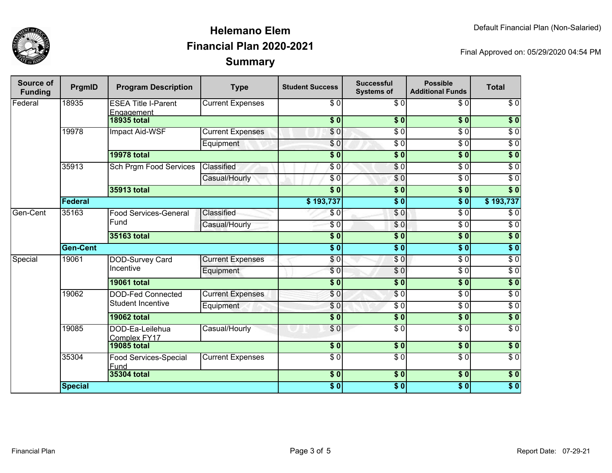

| Source of<br><b>Funding</b> | PrgmID          | <b>Program Description</b>               | <b>Type</b>             | <b>Student Success</b>    | <b>Successful</b><br><b>Systems of</b> | <b>Possible</b><br><b>Additional Funds</b> | <b>Total</b>     |
|-----------------------------|-----------------|------------------------------------------|-------------------------|---------------------------|----------------------------------------|--------------------------------------------|------------------|
| Federal                     | 18935           | <b>ESEA Title I-Parent</b><br>Engagement | <b>Current Expenses</b> | \$0                       | \$0                                    | \$0                                        | $\sqrt{6}$       |
|                             |                 | <b>18935 total</b>                       |                         | s <sub>0</sub>            | $\overline{\$0}$                       | s <sub>0</sub>                             | $\overline{\$0}$ |
|                             | 19978           | Impact Aid-WSF                           | <b>Current Expenses</b> | \$0                       | $\overline{\$0}$                       | $\overline{\$0}$                           | $\overline{\$0}$ |
|                             |                 |                                          | Equipment               | \$0                       | $\overline{\$0}$                       | $\overline{\$0}$                           | $\overline{\$0}$ |
|                             |                 | 19978 total                              |                         | $\overline{\textbf{S}^0}$ | $\overline{\$}0$                       | $\overline{\$0}$                           | $\sqrt{6}$       |
|                             | 35913           | Sch Prgm Food Services                   | Classified              | \$0                       | \$0                                    | $\overline{\$0}$                           | $\overline{\$0}$ |
|                             |                 |                                          | Casual/Hourly           | \$0                       | \$0                                    | $\overline{\$0}$                           | $\overline{\$0}$ |
|                             |                 | 35913 total                              |                         | s <sub>0</sub>            | $\overline{\$}0$                       | s <sub>0</sub>                             | $\overline{\$0}$ |
|                             | Federal         |                                          |                         | \$193,737                 | $\overline{\textbf{50}}$               | $\overline{\textbf{S}^0}$                  | \$193,737        |
| Gen-Cent                    | 35163           | <b>Food Services-General</b>             | Classified              | \$0                       | $\overline{\$0}$                       | $\overline{\$0}$                           | $\overline{\$0}$ |
|                             |                 | Fund                                     | Casual/Hourly           | $\sqrt{6}$                | $\overline{S}0$                        | $\overline{\$0}$                           | $\overline{\$0}$ |
|                             |                 | 35163 total                              |                         | $\overline{\$0}$          | $\overline{\$0}$                       | $\overline{\$0}$                           | $\overline{\$0}$ |
|                             | <b>Gen-Cent</b> |                                          |                         | $\overline{\$0}$          | $\overline{\$}0$                       | $\overline{\$0}$                           | $\overline{\$}0$ |
| Special                     | 19061           | <b>DOD-Survey Card</b>                   | <b>Current Expenses</b> | \$0                       | $\sqrt{6}$                             | $\overline{\$0}$                           | $\overline{\$0}$ |
|                             |                 | Incentive                                | Equipment               | $\overline{S}0$           | $\overline{\$0}$                       | $\overline{\$0}$                           | $\overline{\$0}$ |
|                             |                 | <b>19061 total</b>                       |                         | $\overline{\$}0$          | $\overline{\$0}$                       | $\overline{\$0}$                           | $\overline{\$0}$ |
|                             | 19062           | <b>DOD-Fed Connected</b>                 | <b>Current Expenses</b> | \$0                       | $\overline{\$0}$                       | $\overline{\$0}$                           | $\overline{\$0}$ |
|                             |                 | <b>Student Incentive</b>                 | Equipment               | \$0                       | $\overline{\$0}$                       | $\overline{\$0}$                           | $\overline{\$0}$ |
|                             |                 | <b>19062 total</b>                       |                         | $\overline{\$0}$          | $\overline{\$0}$                       | $\overline{\$0}$                           | $\overline{\$0}$ |
|                             | 19085           | DOD-Ea-Leilehua<br>Complex FY17          | Casual/Hourly           | \$0                       | $\overline{\$0}$                       | $\overline{\$0}$                           | $\overline{\$0}$ |
|                             |                 | <b>19085 total</b>                       |                         | \$0                       | $\overline{\$0}$                       | $\overline{\$0}$                           | \$0              |
|                             | 35304           | Food Services-Special<br>Fund            | <b>Current Expenses</b> | $\overline{\$0}$          | $\overline{S}0$                        | $\overline{60}$                            | $\overline{\$0}$ |
|                             |                 | <b>35304 total</b>                       |                         | $\overline{\$0}$          | $\overline{\$0}$                       | $\overline{\$0}$                           | $\overline{\$0}$ |
|                             | <b>Special</b>  |                                          |                         | \$0                       | $\overline{\$0}$                       | $\overline{\$0}$                           | $\overline{\$0}$ |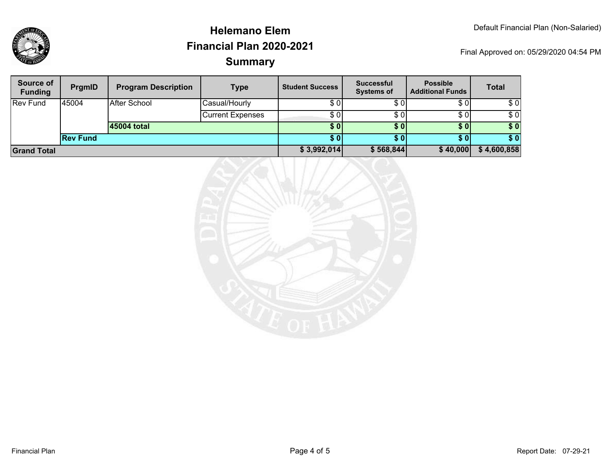| Source of<br><b>Funding</b> | PrgmID          | <b>Program Description</b> | <b>Type</b>             | <b>Student Success</b> | <b>Successful</b><br><b>Systems of</b> | <b>Possible</b><br><b>Additional Funds</b> | <b>Total</b> |
|-----------------------------|-----------------|----------------------------|-------------------------|------------------------|----------------------------------------|--------------------------------------------|--------------|
| <b>Rev Fund</b>             | 145004          | After School               | Casual/Hourly           | \$01                   | \$0                                    | \$0                                        | \$0          |
|                             |                 |                            | <b>Current Expenses</b> | \$0                    | \$0                                    | \$0                                        | \$0          |
|                             |                 | 45004 total                |                         | <b>\$01</b>            | <b>SO</b>                              | \$0 <sub>1</sub>                           | \$0          |
|                             | <b>Rev Fund</b> |                            |                         | \$01                   | <b>SO</b>                              | \$0 <sub>1</sub>                           | \$0          |
| <b>Sand Total</b>           |                 |                            | \$3,992,014]            | \$568,844              | \$40,000                               | \$4,600,858                                |              |